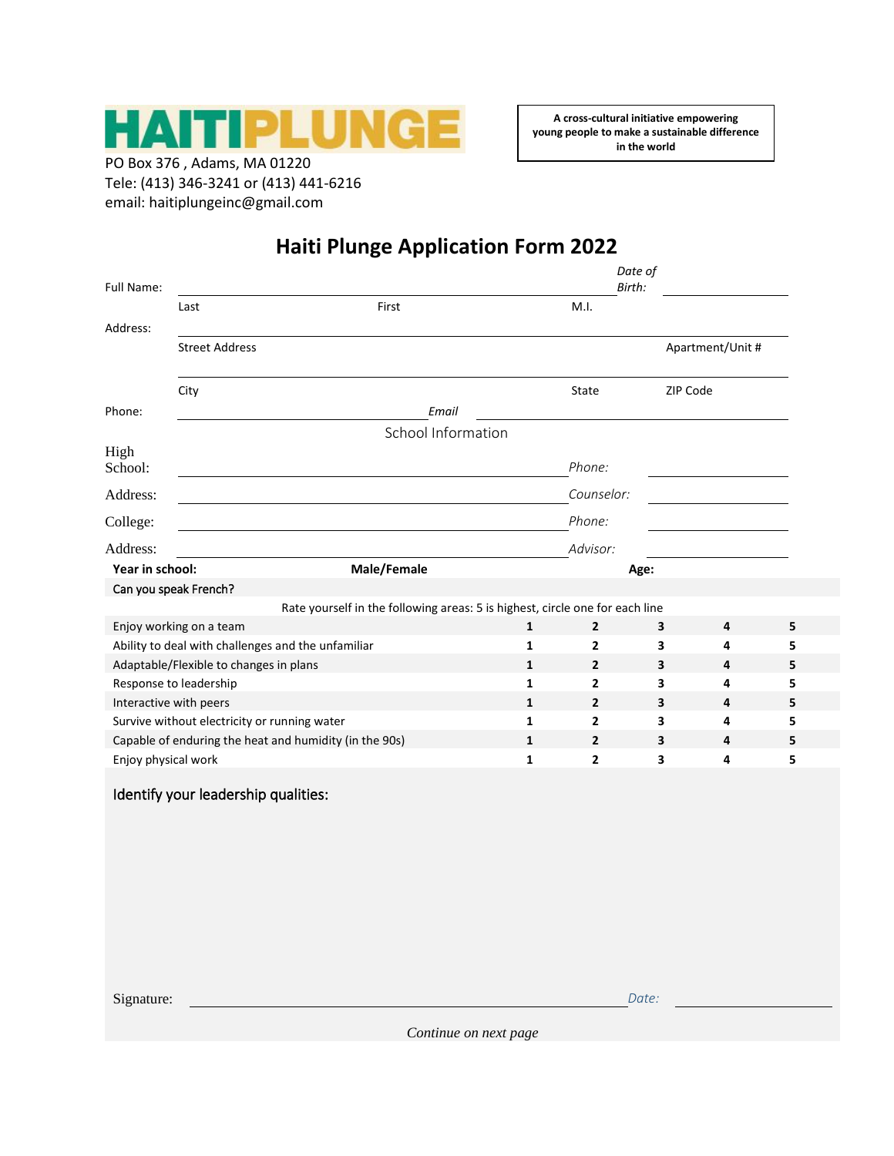

PO Box 376 , Adams, MA 01220 Tele: (413) 346-3241 or (413) 441-6216 email: haitiplungeinc@gmail.com

**A cross-cultural initiative empowering young people to make a sustainable difference in the world**

## **Haiti Plunge Application Form 2022**

| <b>Full Name:</b>                                      |                       |                                                                              | Date of<br>Birth: |                |                  |   |   |  |
|--------------------------------------------------------|-----------------------|------------------------------------------------------------------------------|-------------------|----------------|------------------|---|---|--|
|                                                        | Last                  | First                                                                        |                   | M.I.           |                  |   |   |  |
| Address:                                               |                       |                                                                              |                   |                |                  |   |   |  |
|                                                        | <b>Street Address</b> |                                                                              |                   |                | Apartment/Unit # |   |   |  |
|                                                        | City                  |                                                                              |                   | State          | ZIP Code         |   |   |  |
| Phone:                                                 |                       | Email                                                                        |                   |                |                  |   |   |  |
|                                                        | School Information    |                                                                              |                   |                |                  |   |   |  |
| High<br>School:                                        |                       |                                                                              |                   | Phone:         |                  |   |   |  |
| Address:                                               |                       |                                                                              |                   | Counselor:     |                  |   |   |  |
| College:                                               |                       |                                                                              |                   | Phone:         |                  |   |   |  |
| Address:                                               |                       |                                                                              |                   | Advisor:       |                  |   |   |  |
| Year in school:                                        | Male/Female           |                                                                              |                   | Age:           |                  |   |   |  |
| Can you speak French?                                  |                       |                                                                              |                   |                |                  |   |   |  |
|                                                        |                       | Rate yourself in the following areas: 5 is highest, circle one for each line |                   |                |                  |   |   |  |
| Enjoy working on a team                                |                       |                                                                              | 1                 | $\mathbf{2}$   | 3                | 4 | 5 |  |
| Ability to deal with challenges and the unfamiliar     |                       |                                                                              | 1                 | 2              | 3                | 4 | 5 |  |
| Adaptable/Flexible to changes in plans<br>1            |                       |                                                                              |                   | $\overline{2}$ | 3                | 4 | 5 |  |
| Response to leadership<br>1                            |                       |                                                                              |                   | $\overline{2}$ | 3                | 4 | 5 |  |
| Interactive with peers<br>1                            |                       |                                                                              |                   | $\overline{2}$ | 3                | 4 | 5 |  |
| Survive without electricity or running water<br>1      |                       |                                                                              |                   | $\mathbf{2}$   | 3                | 4 | 5 |  |
| Capable of enduring the heat and humidity (in the 90s) |                       |                                                                              |                   | $\mathbf{2}$   | 3                | 4 | 5 |  |
| Enjoy physical work                                    |                       |                                                                              | $\mathbf{1}$      | $\overline{2}$ | 3                | 4 | 5 |  |

## Identify your leadership qualities:

Signature: <u>Date:</u> Date: Date: Date: Date: Date: Date: Date: Date: Date: Date: Date: Date: Date: Date: Date: Date: Date: Date: Date: Date: Date: Date: Date: Date: Date: Date: Date: Date: Date: Date: Date: Date: Date: Date: